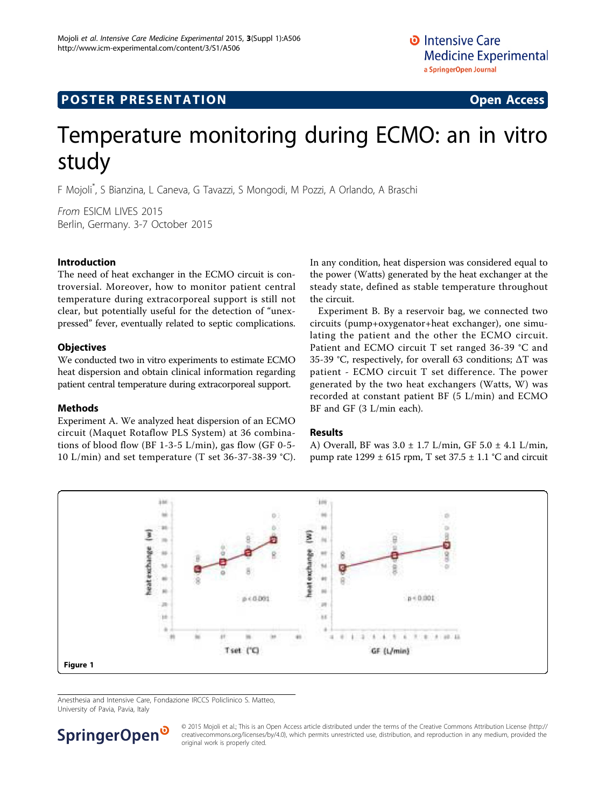## <span id="page-0-0"></span>**POSTER PRESENTATION CONSUMING ACCESS**

# Temperature monitoring during ECMO: an in vitro study

F Mojoli\* , S Bianzina, L Caneva, G Tavazzi, S Mongodi, M Pozzi, A Orlando, A Braschi

From ESICM LIVES 2015 Berlin, Germany. 3-7 October 2015

### Introduction

The need of heat exchanger in the ECMO circuit is controversial. Moreover, how to monitor patient central temperature during extracorporeal support is still not clear, but potentially useful for the detection of "unexpressed" fever, eventually related to septic complications.

### **Objectives**

We conducted two in vitro experiments to estimate ECMO heat dispersion and obtain clinical information regarding patient central temperature during extracorporeal support.

#### Methods

Experiment A. We analyzed heat dispersion of an ECMO circuit (Maquet Rotaflow PLS System) at 36 combinations of blood flow (BF 1-3-5 L/min), gas flow (GF 0-5- 10 L/min) and set temperature (T set 36-37-38-39 °C). In any condition, heat dispersion was considered equal to the power (Watts) generated by the heat exchanger at the steady state, defined as stable temperature throughout the circuit.

Experiment B. By a reservoir bag, we connected two circuits (pump+oxygenator+heat exchanger), one simulating the patient and the other the ECMO circuit. Patient and ECMO circuit T set ranged 36-39 °C and 35-39 °C, respectively, for overall 63 conditions; ΔT was patient - ECMO circuit T set difference. The power generated by the two heat exchangers (Watts, W) was recorded at constant patient BF (5 L/min) and ECMO BF and GF (3 L/min each).

#### Results

A) Overall, BF was  $3.0 \pm 1.7$  L/min, GF  $5.0 \pm 4.1$  L/min, pump rate  $1299 \pm 615$  rpm, T set  $37.5 \pm 1.1$  °C and circuit



Anesthesia and Intensive Care, Fondazione IRCCS Policlinico S. Matteo, University of Pavia, Pavia, Italy



© 2015 Mojoli et al.; This is an Open Access article distributed under the terms of the Creative Commons Attribution License [\(http://](http://creativecommons.org/licenses/by/4.0) [creativecommons.org/licenses/by/4.0](http://creativecommons.org/licenses/by/4.0)), which permits unrestricted use, distribution, and reproduction in any medium, provided the original work is properly cited.